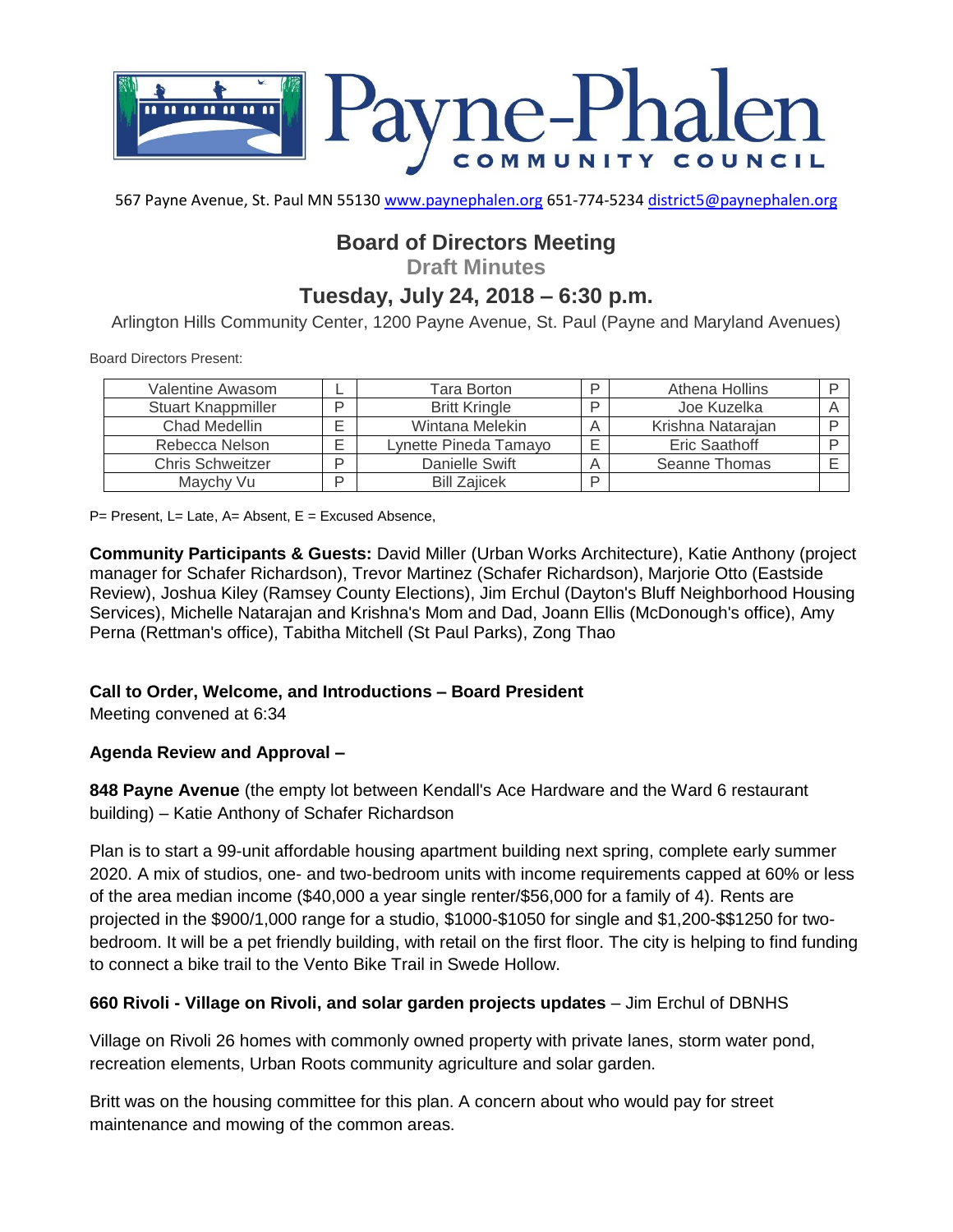

567 Payne Avenue, St. Paul MN 55130 [www.paynephalen.org](http://www.paynephalen.org/) 651-774-5234 [district5@paynephalen.org](mailto:district5@paynephalen.org)

# **Board of Directors Meeting**

**Draft Minutes**

## **Tuesday, July 24, 2018 – 6:30 p.m.**

Arlington Hills Community Center, 1200 Payne Avenue, St. Paul (Payne and Maryland Avenues)

Board Directors Present:

| Valentine Awasom        |   | Tara Borton           | ם  | Athena Hollins    |  |
|-------------------------|---|-----------------------|----|-------------------|--|
| Stuart Knappmiller      | ח | <b>Britt Kringle</b>  | רו | Joe Kuzelka       |  |
| Chad Medellin           |   | Wintana Melekin       |    | Krishna Natarajan |  |
| Rebecca Nelson          | ⊏ | Lynette Pineda Tamayo |    | Eric Saathoff     |  |
| <b>Chris Schweitzer</b> | D | Danielle Swift        |    | Seanne Thomas     |  |
| Maychy Vu               | D | <b>Bill Zaiicek</b>   | D  |                   |  |

 $P=$  Present, L= Late, A= Absent, E = Excused Absence,

**Community Participants & Guests:** David Miller (Urban Works Architecture), Katie Anthony (project manager for Schafer Richardson), Trevor Martinez (Schafer Richardson), Marjorie Otto (Eastside Review), Joshua Kiley (Ramsey County Elections), Jim Erchul (Dayton's Bluff Neighborhood Housing Services), Michelle Natarajan and Krishna's Mom and Dad, Joann Ellis (McDonough's office), Amy Perna (Rettman's office), Tabitha Mitchell (St Paul Parks), Zong Thao

## **Call to Order, Welcome, and Introductions – Board President**

Meeting convened at 6:34

## **Agenda Review and Approval –**

**848 Payne Avenue** (the empty lot between Kendall's Ace Hardware and the Ward 6 restaurant building) – Katie Anthony of Schafer Richardson

Plan is to start a 99-unit affordable housing apartment building next spring, complete early summer 2020. A mix of studios, one- and two-bedroom units with income requirements capped at 60% or less of the area median income (\$40,000 a year single renter/\$56,000 for a family of 4). Rents are projected in the \$900/1,000 range for a studio, \$1000-\$1050 for single and \$1,200-\$\$1250 for twobedroom. It will be a pet friendly building, with retail on the first floor. The city is helping to find funding to connect a bike trail to the Vento Bike Trail in Swede Hollow.

## **660 Rivoli - Village on Rivoli, and solar garden projects updates** – Jim Erchul of DBNHS

Village on Rivoli 26 homes with commonly owned property with private lanes, storm water pond, recreation elements, Urban Roots community agriculture and solar garden.

Britt was on the housing committee for this plan. A concern about who would pay for street maintenance and mowing of the common areas.